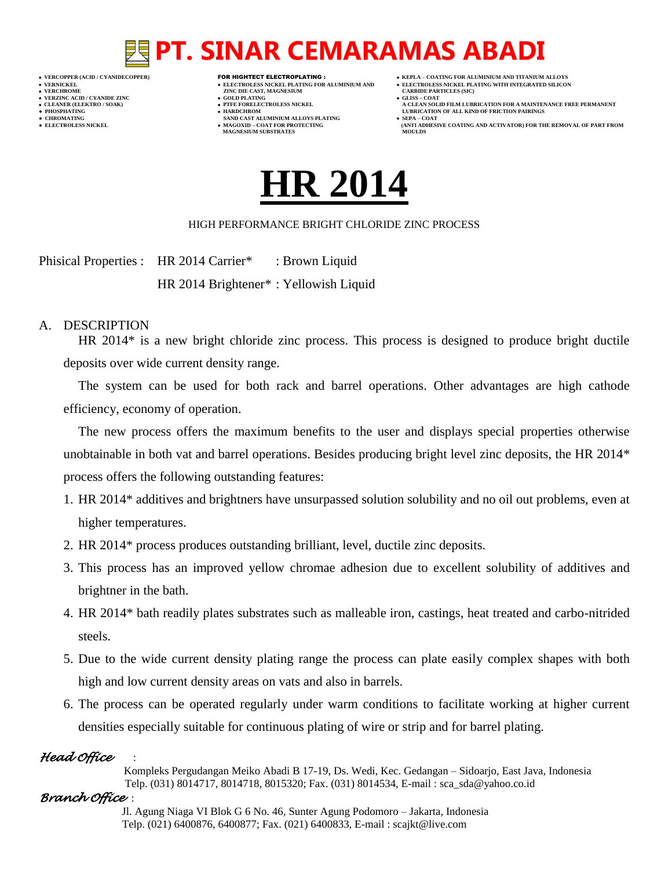- 
- 
- 

- **VERFORM ZINC DIE CAST, MAGNESIUM CARBIDE PARTICLES (SIC)**<br> **CARBIDE PARTING**
- **VERZINC ACID / CYANIDE ZINC GOLD PLATING GLISS – COAT**
	-
- **● CHROMATING SAND CAST ALUMINIUM ALLOYS PLATING SEPA – COAT • MAGOXID – COAT FOR PROTECTING<br>MAGNESIUM SUBSTRATES**
- **VERCOPPER (ACID / CYANIDECOPPER)** FOR HIGHTECT ELECTROPLATING :  **KEPLA – COATING FOR ALUMINIUM AND TITANIUM ALLOYS**
- **VERNICKEL ELECTROLESS NICKEL PLATING FOR ALUMINIUM AND ELECTROLESS NICKEL PLATING WITH INTEGRATED SILICON**
	-
- **CLEANER (ELEKTRO / SOAK) PTFE FORELECTROLESS NICKEL A CLEAN SOLID FILM LUBRICATION FOR A MAINTENANCE FREE PERMANENT ● PHOSPHATING HARDCHROM LUBRICATION OF ALL KIND OF FRICTION PAIRINGS** 
	- **ELECTROLESS AND ACTIVATOR) FOR THE REMOVAL OF PART FROM (ANTI ADHESIVE COATING AND ACTIVATOR) FOR THE REMOVAL OF PART FROM <b>MOULDS**



### HIGH PERFORMANCE BRIGHT CHLORIDE ZINC PROCESS

Phisical Properties : HR 2014 Carrier\* : Brown Liquid HR 2014 Brightener\* : Yellowish Liquid

## A. DESCRIPTION

HR 2014\* is a new bright chloride zinc process. This process is designed to produce bright ductile deposits over wide current density range.

The system can be used for both rack and barrel operations. Other advantages are high cathode efficiency, economy of operation.

The new process offers the maximum benefits to the user and displays special properties otherwise unobtainable in both vat and barrel operations. Besides producing bright level zinc deposits, the HR 2014\* process offers the following outstanding features:

- 1. HR 2014\* additives and brightners have unsurpassed solution solubility and no oil out problems, even at higher temperatures.
- 2. HR 2014\* process produces outstanding brilliant, level, ductile zinc deposits.
- 3. This process has an improved yellow chromae adhesion due to excellent solubility of additives and brightner in the bath.
- 4. HR 2014\* bath readily plates substrates such as malleable iron, castings, heat treated and carbo-nitrided steels.
- 5. Due to the wide current density plating range the process can plate easily complex shapes with both high and low current density areas on vats and also in barrels.
- 6. The process can be operated regularly under warm conditions to facilitate working at higher current densities especially suitable for continuous plating of wire or strip and for barrel plating.

# *Head Office* :

 Kompleks Pergudangan Meiko Abadi B 17-19, Ds. Wedi, Kec. Gedangan – Sidoarjo, East Java, Indonesia Telp. (031) 8014717, 8014718, 8015320; Fax. (031) 8014534, E-mail : sca\_sda@yahoo.co.id

*Branch Office* :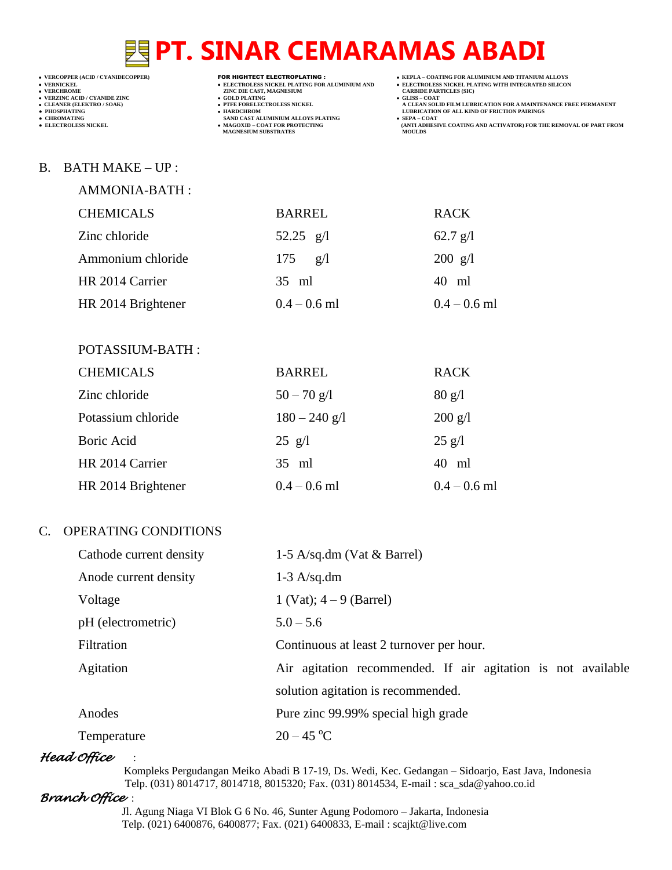- 
- 
- 

- **VERCHROMES NICKEL PLATING FOR ALUMINIUM AND**<br> **VELECTROLES NICKEL PLATING FOR ALUMINIUM AND**<br> **VERCHROMES (SILB)**<br> **CARBIDE PARTING**<br> **CARBIDE PARTING**
- **v GOLD PLATING**<br>**• PTFE FORELECTROLESS NICKEL**
- 
- **● CHROMATING SAND CAST ALUMINIUM ALLOYS PLATING SEPA – COAT MAGNESIUM SUBSTRATES MOULDS**
- **VERCOPPER (ACID / CYANIDECOPPER)** FOR HIGHTECT ELECTROPLATING :  **KEPLA – COATING FOR ALUMINIUM AND TITANIUM ALLOYS**
	-
	-
- **VERNICKEL ELECTROLESS NICKEL PLATING FOR ALUMINIUM AND ELECTROLESS NICKEL PLATING WITH INTEGRATED SILICON CLEANER (ELEKTRO / SOAK) PTFE FORELECTROLESS NICKEL A CLEAN SOLID FILM LUBRICATION FOR A MAINTENANCE FREE PERMANENT**
- **PHOSPHATING HARDCHROM LUBRICATION OF ALL KIND OF FRICTION PAIRINGS • SEPA – COAT**<br> **•** SEPA – COAT FOR COATING AND ACTIVATOR) FOR THE REMOVAL OF PART FROM MOULDS

### B. BATH MAKE – UP :

AMMONIA-BATH :

POTASSIUM-BATH :

| <b>CHEMICALS</b>   | <b>BARREL</b>     | <b>RACK</b>       |
|--------------------|-------------------|-------------------|
| Zinc chloride      | 52.25 $g/l$       | $62.7$ g/l        |
| Ammonium chloride  | $175 \text{ g/l}$ | $200 \text{ g}/1$ |
| HR 2014 Carrier    | 35 ml             | 40 ml             |
| HR 2014 Brightener | $0.4 - 0.6$ ml    | $0.4 - 0.6$ ml    |

| <b>CHEMICALS</b>   | <b>BARREL</b>   | <b>RACK</b>             |
|--------------------|-----------------|-------------------------|
| Zinc chloride      | $50 - 70$ g/l   | $80 \text{ g}/\text{l}$ |
| Potassium chloride | $180 - 240$ g/l | $200 \text{ g/l}$       |
| Boric Acid         | $25$ g/l        | $25$ g/l                |
| HR 2014 Carrier    | $35$ ml         | 40 ml                   |
| HR 2014 Brightener | $0.4 - 0.6$ ml  | $0.4 - 0.6$ ml          |

# C. OPERATING CONDITIONS

| Cathode current density | 1-5 A/sq.dm (Vat $\&$ Barrel)                                |
|-------------------------|--------------------------------------------------------------|
| Anode current density   | $1-3$ A/sq.dm                                                |
| Voltage                 | 1 (Vat); $4 - 9$ (Barrel)                                    |
| pH (electrometric)      | $5.0 - 5.6$                                                  |
| Filtration              | Continuous at least 2 turnover per hour.                     |
| Agitation               | Air agitation recommended. If air agitation is not available |
|                         | solution agitation is recommended.                           |
| Anodes                  | Pure zinc 99.99% special high grade                          |
| Temperature             | $20 - 45$ °C                                                 |

# *Head Office* :

 Kompleks Pergudangan Meiko Abadi B 17-19, Ds. Wedi, Kec. Gedangan – Sidoarjo, East Java, Indonesia Telp. (031) 8014717, 8014718, 8015320; Fax. (031) 8014534, E-mail : sca\_sda@yahoo.co.id

# *Branch Office* :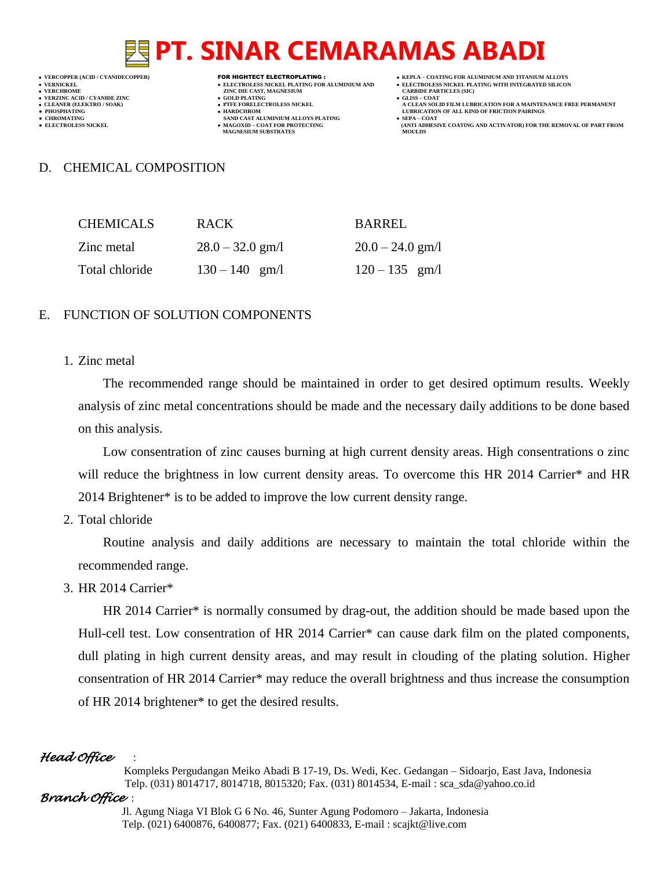- 
- -

- **VERFORM ZINC DIE CAST, MAGNESIUM CARBIDE PARTICLES (SIC)**<br> **CARBIDE PARTING**
- **VERZINC ACID / CYANIDE ZINC GOLD PLATING GLISS – COAT**
	-
- **● CHROMATING SAND CAST ALUMINIUM ALLOYS PLATING SEPA – COAT • MAGOXID – COAT FOR PROTECTING<br>MAGNESIUM SUBSTRATES**
- **VERCOPPER (ACID / CYANIDECOPPER)** FOR HIGHTECT ELECTROPLATING :  **KEPLA – COATING FOR ALUMINIUM AND TITANIUM ALLOYS**
- **VERNICKEL ELECTROLESS NICKEL PLATING FOR ALUMINIUM AND ELECTROLESS NICKEL PLATING WITH INTEGRATED SILICON**
	-
- **CLEANER (ELEKTRO / SOAK) PTFE FORELECTROLESS NICKEL A CLEAN SOLID FILM LUBRICATION FOR A MAINTENANCE FREE PERMANENT ● PHOSPHATING HARDCHROM LUBRICATION OF ALL KIND OF FRICTION PAIRINGS** 
	- **ELECTROLESS AND ACTIVATOR) FOR THE REMOVAL OF PART FROM (ANTI ADHESIVE COATING AND ACTIVATOR) FOR THE REMOVAL OF PART FROM <b>MOULDS**

### D. CHEMICAL COMPOSITION

| <b>CHEMICALS</b> | RACK.              | BARREL             |
|------------------|--------------------|--------------------|
| Zinc metal       | $28.0 - 32.0$ gm/l | $20.0 - 24.0$ gm/l |
| Total chloride   | $130 - 140$ gm/l   | $120 - 135$ gm/l   |

### E. FUNCTION OF SOLUTION COMPONENTS

1. Zinc metal

The recommended range should be maintained in order to get desired optimum results. Weekly analysis of zinc metal concentrations should be made and the necessary daily additions to be done based on this analysis.

Low consentration of zinc causes burning at high current density areas. High consentrations o zinc will reduce the brightness in low current density areas. To overcome this HR 2014 Carrier\* and HR 2014 Brightener\* is to be added to improve the low current density range.

2. Total chloride

Routine analysis and daily additions are necessary to maintain the total chloride within the recommended range.

3. HR 2014 Carrier\*

HR 2014 Carrier\* is normally consumed by drag-out, the addition should be made based upon the Hull-cell test. Low consentration of HR 2014 Carrier\* can cause dark film on the plated components, dull plating in high current density areas, and may result in clouding of the plating solution. Higher consentration of HR 2014 Carrier\* may reduce the overall brightness and thus increase the consumption of HR 2014 brightener\* to get the desired results.

# *Head Office* :

 Kompleks Pergudangan Meiko Abadi B 17-19, Ds. Wedi, Kec. Gedangan – Sidoarjo, East Java, Indonesia Telp. (031) 8014717, 8014718, 8015320; Fax. (031) 8014534, E-mail : sca\_sda@yahoo.co.id

### *Branch Office* :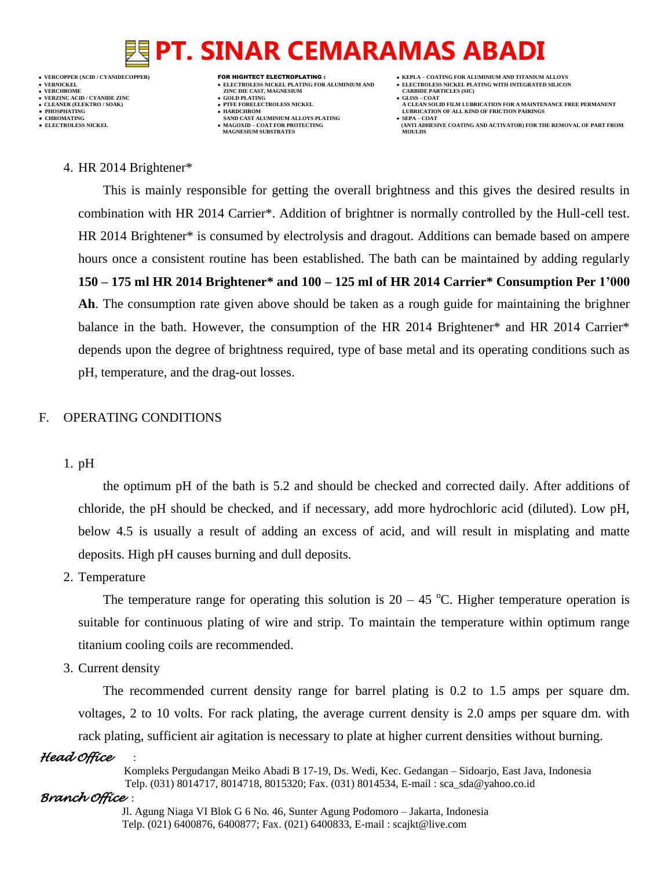**VERNICKEL ELECTROLESS NICKEL PLATING FOR ALUMINIUM AND ELECTROLESS NICKEL PLATING WITH INTEGRATED SILICON VERZINC ACID / CYANIDE ZINC GOLD PLATING GLISS – COAT ● PHOSPHATING HARDCHROM LUBRICATION OF ALL KIND OF FRICTION PAIRINGS • CHROMATING • CHROMATING • CHROMATING • CHROMATING • CHROMATING • CHROMATING • MAGOXID** – **COAT FOR PROTECTING** 

- **VERFORM ZINC DIE CAST, MAGNESIUM CARBIDE PARTICLES (SIC)**<br> **CARBIDE PARTING**
- 
- 
- **MAGNESIUM SUBSTRATES**
- **VERCOPPER (ACID / CYANIDECOPPER)** FOR HIGHTECT ELECTROPLATING :  **KEPLA – COATING FOR ALUMINIUM AND TITANIUM ALLOYS**
	-
- **CLEANER (ELEKTRO / SOAK) PTFE FORELECTROLESS NICKEL A CLEAN SOLID FILM LUBRICATION FOR A MAINTENANCE FREE PERMANENT**
	- **ELECTROLESS AND ACTIVATOR) FOR THE REMOVAL OF PART FROM (ANTI ADHESIVE COATING AND ACTIVATOR) FOR THE REMOVAL OF PART FROM <b>MOULDS**

4. HR 2014 Brightener\*

This is mainly responsible for getting the overall brightness and this gives the desired results in combination with HR 2014 Carrier\*. Addition of brightner is normally controlled by the Hull-cell test. HR 2014 Brightener\* is consumed by electrolysis and dragout. Additions can bemade based on ampere hours once a consistent routine has been established. The bath can be maintained by adding regularly **150 – 175 ml HR 2014 Brightener\* and 100 – 125 ml of HR 2014 Carrier\* Consumption Per 1'000 Ah**. The consumption rate given above should be taken as a rough guide for maintaining the brighner balance in the bath. However, the consumption of the HR 2014 Brightener\* and HR 2014 Carrier\* depends upon the degree of brightness required, type of base metal and its operating conditions such as pH, temperature, and the drag-out losses.

## F. OPERATING CONDITIONS

1. pH

the optimum pH of the bath is 5.2 and should be checked and corrected daily. After additions of chloride, the pH should be checked, and if necessary, add more hydrochloric acid (diluted). Low pH, below 4.5 is usually a result of adding an excess of acid, and will result in misplating and matte deposits. High pH causes burning and dull deposits.

2. Temperature

The temperature range for operating this solution is  $20 - 45$  °C. Higher temperature operation is suitable for continuous plating of wire and strip. To maintain the temperature within optimum range titanium cooling coils are recommended.

3. Current density

The recommended current density range for barrel plating is 0.2 to 1.5 amps per square dm. voltages, 2 to 10 volts. For rack plating, the average current density is 2.0 amps per square dm. with rack plating, sufficient air agitation is necessary to plate at higher current densities without burning.

### *Head Office* :

 Kompleks Pergudangan Meiko Abadi B 17-19, Ds. Wedi, Kec. Gedangan – Sidoarjo, East Java, Indonesia Telp. (031) 8014717, 8014718, 8015320; Fax. (031) 8014534, E-mail : sca\_sda@yahoo.co.id

### *Branch Office* :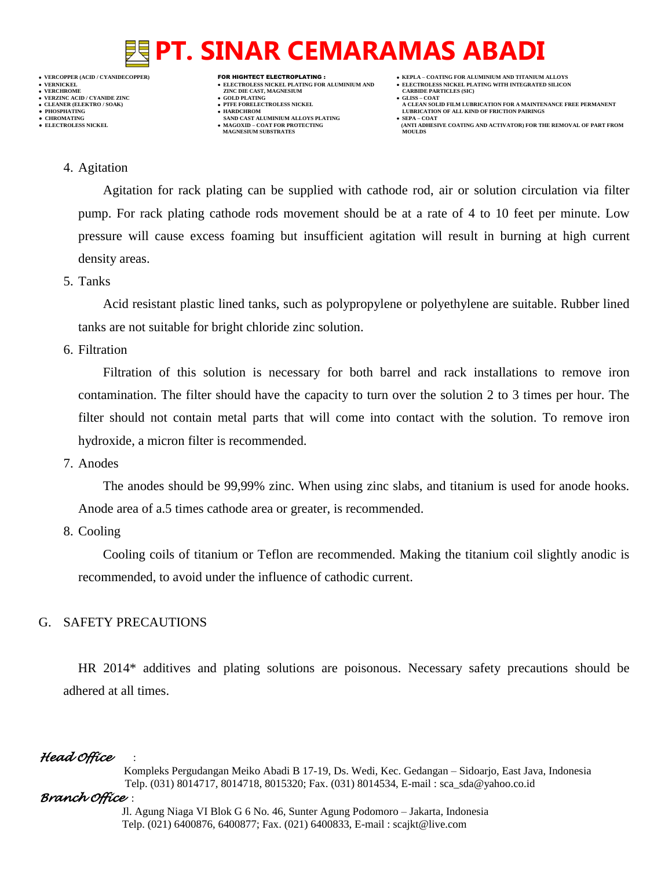**VERNICKEL ELECTROLESS NICKEL PLATING FOR ALUMINIUM AND ELECTROLESS NICKEL PLATING WITH INTEGRATED SILICON VERZINC ACID / CYANIDE ZINC GOLD PLATING GLISS – COAT**

- 
- 

- **VERFORM ZINC DIE CAST, MAGNESIUM CARBIDE PARTICLES (SIC)**<br> **CARBIDE PARTING**
- 
- **PHOSPHATING HARDCHROM LUBRICATION OF ALL KIND OF FRICTION PAIRINGS ● CHROMATING SAND CAST ALUMINIUM ALLOYS PLATING SEPA – COAT MAGNESIUM SUBSTRATES**
- **VERCOPPER (ACID / CYANIDECOPPER)** FOR HIGHTECT ELECTROPLATING :  **KEPLA – COATING FOR ALUMINIUM AND TITANIUM ALLOYS**
	-
- **CLEANER (ELEKTRO / SOAK) PTFE FORELECTROLESS NICKEL A CLEAN SOLID FILM LUBRICATION FOR A MAINTENANCE FREE PERMANENT**
	- **ELECTROLESS AND ACTIVATOR) FOR THE REMOVAL OF PART FROM (ANTI ADHESIVE COATING AND ACTIVATOR) FOR THE REMOVAL OF PART FROM <b>MOULDS**

### 4. Agitation

Agitation for rack plating can be supplied with cathode rod, air or solution circulation via filter pump. For rack plating cathode rods movement should be at a rate of 4 to 10 feet per minute. Low pressure will cause excess foaming but insufficient agitation will result in burning at high current density areas.

### 5. Tanks

Acid resistant plastic lined tanks, such as polypropylene or polyethylene are suitable. Rubber lined tanks are not suitable for bright chloride zinc solution.

6. Filtration

Filtration of this solution is necessary for both barrel and rack installations to remove iron contamination. The filter should have the capacity to turn over the solution 2 to 3 times per hour. The filter should not contain metal parts that will come into contact with the solution. To remove iron hydroxide, a micron filter is recommended.

7. Anodes

The anodes should be 99,99% zinc. When using zinc slabs, and titanium is used for anode hooks. Anode area of a.5 times cathode area or greater, is recommended.

8. Cooling

Cooling coils of titanium or Teflon are recommended. Making the titanium coil slightly anodic is recommended, to avoid under the influence of cathodic current.

# G. SAFETY PRECAUTIONS

HR 2014\* additives and plating solutions are poisonous. Necessary safety precautions should be adhered at all times.

# *Head Office* :

 Kompleks Pergudangan Meiko Abadi B 17-19, Ds. Wedi, Kec. Gedangan – Sidoarjo, East Java, Indonesia Telp. (031) 8014717, 8014718, 8015320; Fax. (031) 8014534, E-mail : sca\_sda@yahoo.co.id

# *Branch Office* :